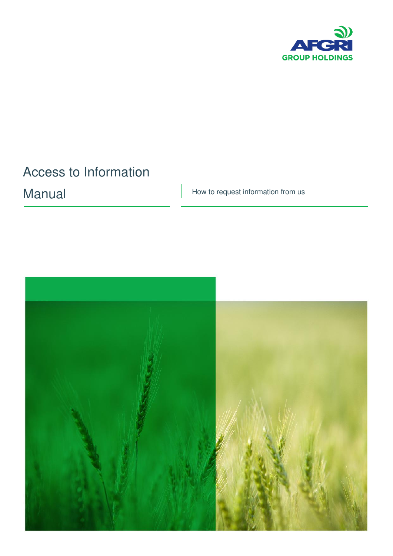

# Access to Information

Manual How to request information from us

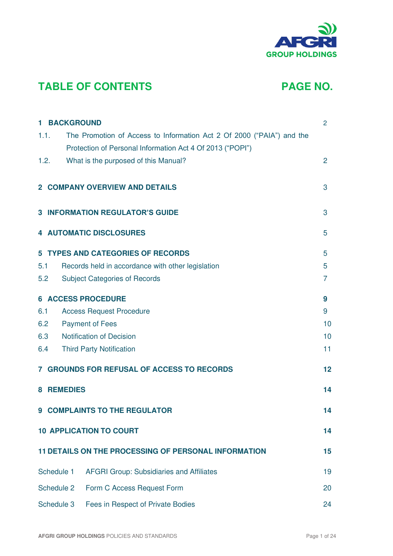

## **TABLE OF CONTENTS PAGE NO.**

| <b>1 BACKGROUND</b> |                                                                       | $\overline{2}$ |
|---------------------|-----------------------------------------------------------------------|----------------|
| 1.1.                | The Promotion of Access to Information Act 2 Of 2000 ("PAIA") and the |                |
|                     | Protection of Personal Information Act 4 Of 2013 ("POPI")             |                |
| 1.2.                | What is the purposed of this Manual?                                  | $\overline{2}$ |
|                     | <b>2 COMPANY OVERVIEW AND DETAILS</b>                                 | 3              |
|                     | <b>3 INFORMATION REGULATOR'S GUIDE</b>                                | 3              |
|                     | <b>4 AUTOMATIC DISCLOSURES</b>                                        | 5              |
|                     | <b>5 TYPES AND CATEGORIES OF RECORDS</b>                              | 5              |
| 5.1                 | Records held in accordance with other legislation                     | 5              |
| 5.2                 | <b>Subject Categories of Records</b>                                  | 7              |
|                     | <b>6 ACCESS PROCEDURE</b>                                             | 9              |
| 6.1                 | <b>Access Request Procedure</b>                                       | 9              |
| 6.2                 | <b>Payment of Fees</b>                                                | 10             |
| 6.3                 | <b>Notification of Decision</b>                                       | 10             |
| 6.4                 | <b>Third Party Notification</b>                                       | 11             |
|                     | <b>7 GROUNDS FOR REFUSAL OF ACCESS TO RECORDS</b>                     | 12             |
| <b>8 REMEDIES</b>   |                                                                       | 14             |
|                     | <b>9 COMPLAINTS TO THE REGULATOR</b>                                  | 14             |
|                     | <b>10 APPLICATION TO COURT</b>                                        | 14             |
|                     | <b>11 DETAILS ON THE PROCESSING OF PERSONAL INFORMATION</b>           | 15             |
| Schedule 1          | <b>AFGRI Group: Subsidiaries and Affiliates</b>                       | 19             |
| Schedule 2          | Form C Access Request Form                                            | 20             |
| Schedule 3          | Fees in Respect of Private Bodies                                     | 24             |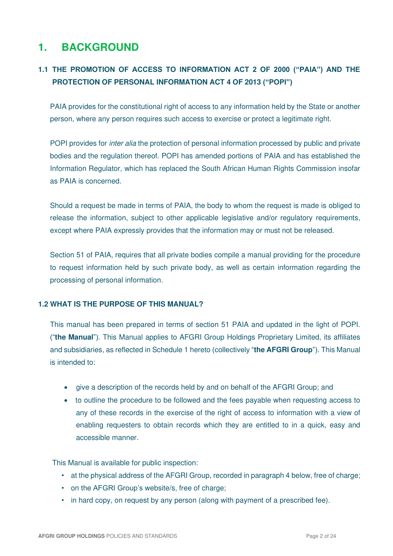### **1. BACKGROUND**

### **1.1 THE PROMOTION OF ACCESS TO INFORMATION ACT 2 OF 2000 ("PAIA") AND THE PROTECTION OF PERSONAL INFORMATION ACT 4 OF 2013 ("POPI")**

PAIA provides for the constitutional right of access to any information held by the State or another person, where any person requires such access to exercise or protect a legitimate right.

POPI provides for *inter alia* the protection of personal information processed by public and private bodies and the regulation thereof. POPI has amended portions of PAIA and has established the Information Regulator, which has replaced the South African Human Rights Commission insofar as PAIA is concerned.

Should a request be made in terms of PAIA, the body to whom the request is made is obliged to release the information, subject to other applicable legislative and/or regulatory requirements, except where PAIA expressly provides that the information may or must not be released.

Section 51 of PAIA, requires that all private bodies compile a manual providing for the procedure to request information held by such private body, as well as certain information regarding the processing of personal information.

### **1.2 WHAT IS THE PURPOSE OF THIS MANUAL?**

This manual has been prepared in terms of section 51 PAIA and updated in the light of POPI. ("**the Manual**"). This Manual applies to AFGRI Group Holdings Proprietary Limited, its affiliates and subsidiaries, as reflected in Schedule 1 hereto (collectively "**the AFGRI Group**"). This Manual is intended to:

- give a description of the records held by and on behalf of the AFGRI Group; and
- to outline the procedure to be followed and the fees payable when requesting access to any of these records in the exercise of the right of access to information with a view of enabling requesters to obtain records which they are entitled to in a quick, easy and accessible manner.

This Manual is available for public inspection:

- at the physical address of the AFGRI Group, recorded in paragraph 4 below, free of charge;
- on the AFGRI Group's website/s, free of charge;
- in hard copy, on request by any person (along with payment of a prescribed fee).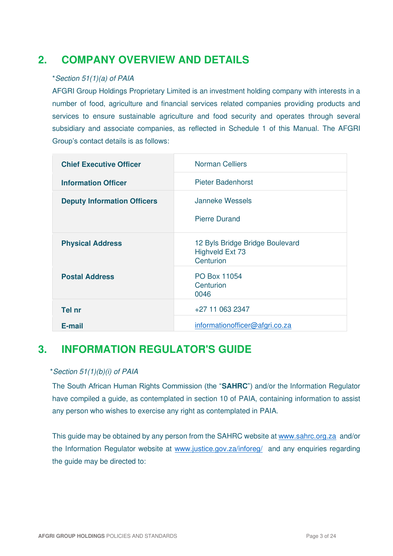### **2. COMPANY OVERVIEW AND DETAILS**

### \*Section 51(1)(a) of PAIA

AFGRI Group Holdings Proprietary Limited is an investment holding company with interests in a number of food, agriculture and financial services related companies providing products and services to ensure sustainable agriculture and food security and operates through several subsidiary and associate companies, as reflected in Schedule 1 of this Manual. The AFGRI Group's contact details is as follows:

| <b>Chief Executive Officer</b>     | <b>Norman Celliers</b>                                                 |
|------------------------------------|------------------------------------------------------------------------|
| <b>Information Officer</b>         | <b>Pieter Badenhorst</b>                                               |
| <b>Deputy Information Officers</b> | <b>Janneke Wessels</b>                                                 |
|                                    | <b>Pierre Durand</b>                                                   |
| <b>Physical Address</b>            | 12 Byls Bridge Bridge Boulevard<br><b>Highveld Ext 73</b><br>Centurion |
| <b>Postal Address</b>              | PO Box 11054<br>Centurion<br>0046                                      |
| Tel nr                             | +27 11 063 2347                                                        |
| E-mail                             | informationofficer@afgri.co.za                                         |

### **3. INFORMATION REGULATOR'S GUIDE**

### \*Section 51(1)(b)(i) of PAIA

The South African Human Rights Commission (the "**SAHRC**") and/or the Information Regulator have compiled a guide, as contemplated in section 10 of PAIA, containing information to assist any person who wishes to exercise any right as contemplated in PAIA.

This guide may be obtained by any person from the SAHRC website at [www.sahrc.org.za](http://www.sahrc.org.za/) and/or the Information Regulator website at [www.justice.gov.za/inforeg/](http://www.justice.gov.za/inforeg/) and any enquiries regarding the guide may be directed to: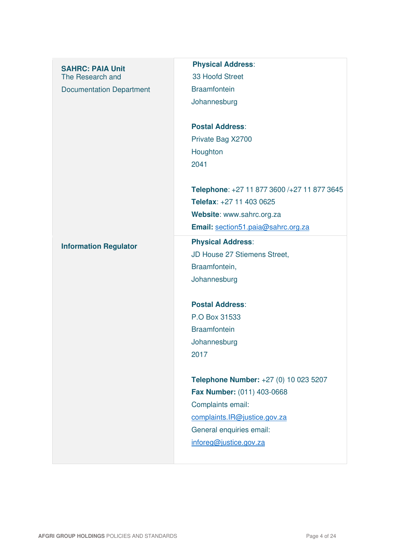| <b>SAHRC: PAIA Unit</b><br>The Research and<br><b>Documentation Department</b> | <b>Physical Address:</b><br>33 Hoofd Street<br><b>Braamfontein</b><br>Johannesburg<br><b>Postal Address:</b><br>Private Bag X2700<br>Houghton<br>2041                          |
|--------------------------------------------------------------------------------|--------------------------------------------------------------------------------------------------------------------------------------------------------------------------------|
|                                                                                | Telephone: +27 11 877 3600 /+27 11 877 3645<br>Telefax: +27 11 403 0625<br>Website: www.sahrc.org.za<br>Email: section51.paia@sahrc.org.za                                     |
| <b>Information Regulator</b>                                                   | <b>Physical Address:</b><br>JD House 27 Stiemens Street,<br>Braamfontein,<br>Johannesburg                                                                                      |
|                                                                                | <b>Postal Address:</b><br>P.O Box 31533<br><b>Braamfontein</b><br>Johannesburg<br>2017                                                                                         |
|                                                                                | Telephone Number: +27 (0) 10 023 5207<br>Fax Number: (011) 403-0668<br>Complaints email:<br>complaints.IR@justice.gov.za<br>General enquiries email:<br>inforeg@justice.gov.za |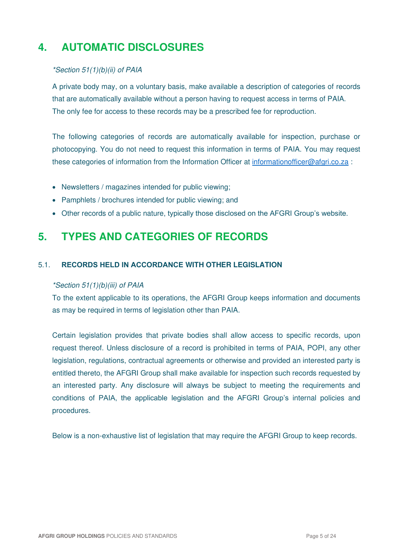## **4. AUTOMATIC DISCLOSURES**

### \*Section 51(1)(b)(ii) of PAIA

A private body may, on a voluntary basis, make available a description of categories of records that are automatically available without a person having to request access in terms of PAIA. The only fee for access to these records may be a prescribed fee for reproduction.

The following categories of records are automatically available for inspection, purchase or photocopying. You do not need to request this information in terms of PAIA. You may request these categories of information from the Information Officer at [informationofficer@afgri.co.za](mailto:informationofficer@afgri.co.za) :

- Newsletters / magazines intended for public viewing:
- Pamphlets / brochures intended for public viewing; and
- Other records of a public nature, typically those disclosed on the AFGRI Group's website.

### **5. TYPES AND CATEGORIES OF RECORDS**

### 5.1. **RECORDS HELD IN ACCORDANCE WITH OTHER LEGISLATION**

### \*Section 51(1)(b)(iii) of PAIA

To the extent applicable to its operations, the AFGRI Group keeps information and documents as may be required in terms of legislation other than PAIA.

Certain legislation provides that private bodies shall allow access to specific records, upon request thereof. Unless disclosure of a record is prohibited in terms of PAIA, POPI, any other legislation, regulations, contractual agreements or otherwise and provided an interested party is entitled thereto, the AFGRI Group shall make available for inspection such records requested by an interested party. Any disclosure will always be subject to meeting the requirements and conditions of PAIA, the applicable legislation and the AFGRI Group's internal policies and procedures.

Below is a non-exhaustive list of legislation that may require the AFGRI Group to keep records.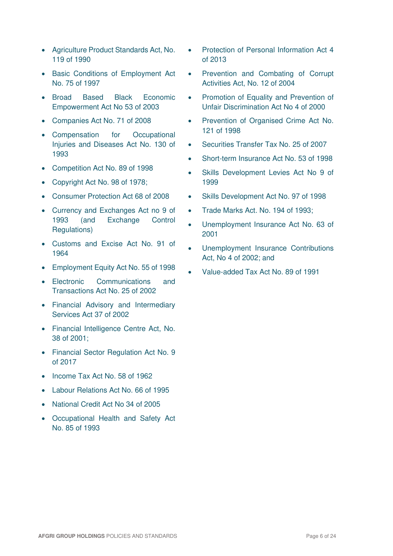- Agriculture Product Standards Act, No. 119 of 1990
- Basic Conditions of Employment Act No. 75 of 1997
- Broad Based Black Economic Empowerment Act No 53 of 2003
- Companies Act No. 71 of 2008
- Compensation for Occupational Injuries and Diseases Act No. 130 of 1993
- Competition Act No. 89 of 1998
- Copyright Act No. 98 of 1978;
- Consumer Protection Act 68 of 2008
- Currency and Exchanges Act no 9 of 1993 (and Exchange Control Regulations)
- Customs and Excise Act No. 91 of 1964
- Employment Equity Act No. 55 of 1998
- Electronic Communications and Transactions Act No. 25 of 2002
- Financial Advisory and Intermediary Services Act 37 of 2002
- Financial Intelligence Centre Act, No. 38 of 2001;
- Financial Sector Regulation Act No. 9 of 2017
- Income Tax Act No. 58 of 1962
- Labour Relations Act No. 66 of 1995
- National Credit Act No 34 of 2005
- Occupational Health and Safety Act No. 85 of 1993
- Protection of Personal Information Act 4 of 2013
- Prevention and Combating of Corrupt Activities Act, No. 12 of 2004
- Promotion of Equality and Prevention of Unfair Discrimination Act No 4 of 2000
- Prevention of Organised Crime Act No. 121 of 1998
- Securities Transfer Tax No. 25 of 2007
- Short-term Insurance Act No. 53 of 1998
- Skills Development Levies Act No 9 of 1999
- Skills Development Act No. 97 of 1998
- Trade Marks Act. No. 194 of 1993;
- Unemployment Insurance Act No. 63 of 2001
- Unemployment Insurance Contributions Act, No 4 of 2002; and
- Value-added Tax Act No. 89 of 1991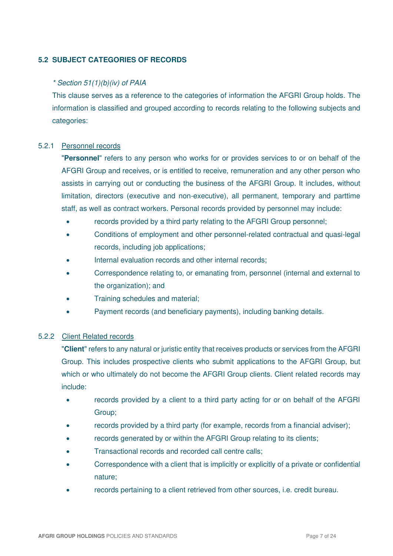### **5.2 SUBJECT CATEGORIES OF RECORDS**

### \* Section 51(1)(b)(iv) of PAIA

This clause serves as a reference to the categories of information the AFGRI Group holds. The information is classified and grouped according to records relating to the following subjects and categories:

#### 5.2.1 Personnel records

"**Personnel**" refers to any person who works for or provides services to or on behalf of the AFGRI Group and receives, or is entitled to receive, remuneration and any other person who assists in carrying out or conducting the business of the AFGRI Group. It includes, without limitation, directors (executive and non-executive), all permanent, temporary and parttime staff, as well as contract workers. Personal records provided by personnel may include:

- records provided by a third party relating to the AFGRI Group personnel;
- Conditions of employment and other personnel-related contractual and quasi-legal records, including job applications;
- Internal evaluation records and other internal records;
- Correspondence relating to, or emanating from, personnel (internal and external to the organization); and
- Training schedules and material;
- Payment records (and beneficiary payments), including banking details.

### 5.2.2 Client Related records

"**Client**" refers to any natural or juristic entity that receives products or services from the AFGRI Group. This includes prospective clients who submit applications to the AFGRI Group, but which or who ultimately do not become the AFGRI Group clients. Client related records may include:

- records provided by a client to a third party acting for or on behalf of the AFGRI Group;
- records provided by a third party (for example, records from a financial adviser);
- records generated by or within the AFGRI Group relating to its clients;
- Transactional records and recorded call centre calls;
- Correspondence with a client that is implicitly or explicitly of a private or confidential nature;
- records pertaining to a client retrieved from other sources, i.e. credit bureau.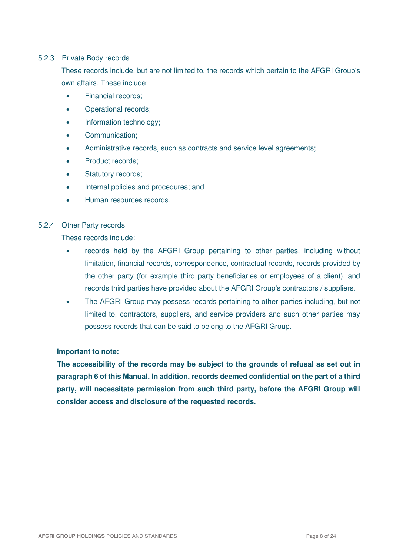### 5.2.3 Private Body records

These records include, but are not limited to, the records which pertain to the AFGRI Group's own affairs. These include:

- Financial records:
- Operational records;
- Information technology;
- Communication:
- Administrative records, such as contracts and service level agreements;
- Product records:
- Statutory records;
- Internal policies and procedures; and
- Human resources records.

### 5.2.4 Other Party records

These records include:

- records held by the AFGRI Group pertaining to other parties, including without limitation, financial records, correspondence, contractual records, records provided by the other party (for example third party beneficiaries or employees of a client), and records third parties have provided about the AFGRI Group's contractors / suppliers.
- The AFGRI Group may possess records pertaining to other parties including, but not limited to, contractors, suppliers, and service providers and such other parties may possess records that can be said to belong to the AFGRI Group.

### **Important to note:**

**The accessibility of the records may be subject to the grounds of refusal as set out in paragraph 6 of this Manual. In addition, records deemed confidential on the part of a third party, will necessitate permission from such third party, before the AFGRI Group will consider access and disclosure of the requested records.**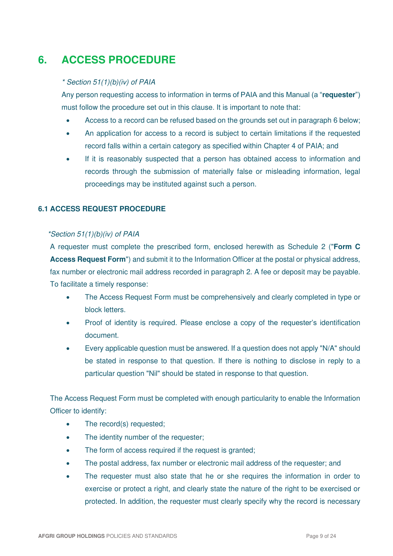## **6. ACCESS PROCEDURE**

### \* Section 51(1)(b)(iv) of PAIA

Any person requesting access to information in terms of PAIA and this Manual (a "**requester**") must follow the procedure set out in this clause. It is important to note that:

- Access to a record can be refused based on the grounds set out in paragraph 6 below;
- An application for access to a record is subject to certain limitations if the requested record falls within a certain category as specified within Chapter 4 of PAIA; and
- If it is reasonably suspected that a person has obtained access to information and records through the submission of materially false or misleading information, legal proceedings may be instituted against such a person.

### **6.1 ACCESS REQUEST PROCEDURE**

### \*Section 51(1)(b)(iv) of PAIA

A requester must complete the prescribed form, enclosed herewith as Schedule 2 ("**Form C Access Request Form**") and submit it to the Information Officer at the postal or physical address, fax number or electronic mail address recorded in paragraph 2. A fee or deposit may be payable. To facilitate a timely response:

- The Access Request Form must be comprehensively and clearly completed in type or block letters.
- Proof of identity is required. Please enclose a copy of the requester's identification document.
- Every applicable question must be answered. If a question does not apply "N/A" should be stated in response to that question. If there is nothing to disclose in reply to a particular question "Nil" should be stated in response to that question.

The Access Request Form must be completed with enough particularity to enable the Information Officer to identify:

- The record(s) requested;
- The identity number of the requester;
- The form of access required if the request is granted;
- The postal address, fax number or electronic mail address of the requester; and
- The requester must also state that he or she requires the information in order to exercise or protect a right, and clearly state the nature of the right to be exercised or protected. In addition, the requester must clearly specify why the record is necessary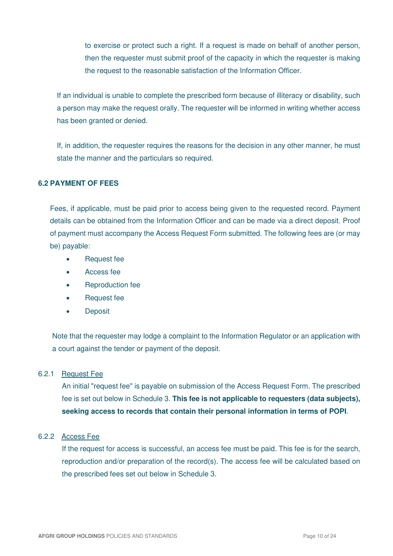to exercise or protect such a right. If a request is made on behalf of another person, then the requester must submit proof of the capacity in which the requester is making the request to the reasonable satisfaction of the Information Officer.

If an individual is unable to complete the prescribed form because of illiteracy or disability, such a person may make the request orally. The requester will be informed in writing whether access has been granted or denied.

If, in addition, the requester requires the reasons for the decision in any other manner, he must state the manner and the particulars so required.

### **6.2 PAYMENT OF FEES**

Fees, if applicable, must be paid prior to access being given to the requested record. Payment details can be obtained from the Information Officer and can be made via a direct deposit. Proof of payment must accompany the Access Request Form submitted. The following fees are (or may be) payable:

- Request fee
- Access fee
- Reproduction fee
- Request fee
- Deposit

Note that the requester may lodge a complaint to the Information Regulator or an application with a court against the tender or payment of the deposit.

### 6.2.1 Request Fee

An initial "request fee" is payable on submission of the Access Request Form. The prescribed fee is set out below in Schedule 3. **This fee is not applicable to requesters (data subjects), seeking access to records that contain their personal information in terms of POPI**.

### 6.2.2 Access Fee

If the request for access is successful, an access fee must be paid. This fee is for the search, reproduction and/or preparation of the record(s). The access fee will be calculated based on the prescribed fees set out below in Schedule 3.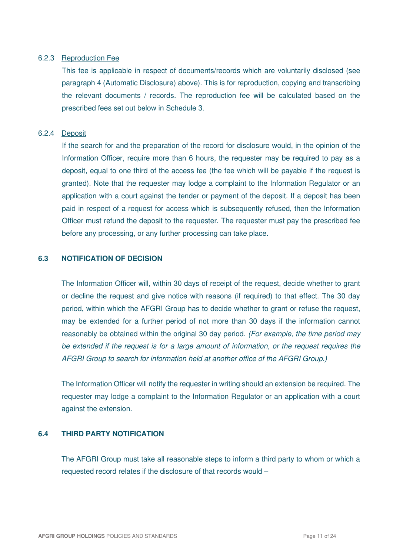#### 6.2.3 Reproduction Fee

This fee is applicable in respect of documents/records which are voluntarily disclosed (see paragraph 4 (Automatic Disclosure) above). This is for reproduction, copying and transcribing the relevant documents / records. The reproduction fee will be calculated based on the prescribed fees set out below in Schedule 3.

### 6.2.4 Deposit

If the search for and the preparation of the record for disclosure would, in the opinion of the Information Officer, require more than 6 hours, the requester may be required to pay as a deposit, equal to one third of the access fee (the fee which will be payable if the request is granted). Note that the requester may lodge a complaint to the Information Regulator or an application with a court against the tender or payment of the deposit. If a deposit has been paid in respect of a request for access which is subsequently refused, then the Information Officer must refund the deposit to the requester. The requester must pay the prescribed fee before any processing, or any further processing can take place.

### **6.3 NOTIFICATION OF DECISION**

The Information Officer will, within 30 days of receipt of the request, decide whether to grant or decline the request and give notice with reasons (if required) to that effect. The 30 day period, within which the AFGRI Group has to decide whether to grant or refuse the request, may be extended for a further period of not more than 30 days if the information cannot reasonably be obtained within the original 30 day period. (For example, the time period may be extended if the request is for a large amount of information, or the request requires the AFGRI Group to search for information held at another office of the AFGRI Group.)

The Information Officer will notify the requester in writing should an extension be required. The requester may lodge a complaint to the Information Regulator or an application with a court against the extension.

### **6.4 THIRD PARTY NOTIFICATION**

The AFGRI Group must take all reasonable steps to inform a third party to whom or which a requested record relates if the disclosure of that records would –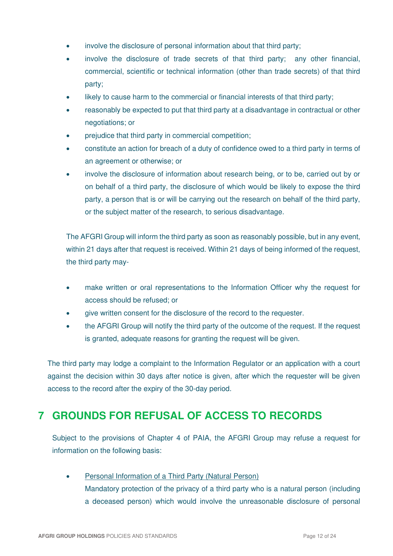- involve the disclosure of personal information about that third party;
- involve the disclosure of trade secrets of that third party; any other financial, commercial, scientific or technical information (other than trade secrets) of that third party;
- likely to cause harm to the commercial or financial interests of that third party;
- reasonably be expected to put that third party at a disadvantage in contractual or other negotiations; or
- prejudice that third party in commercial competition;
- constitute an action for breach of a duty of confidence owed to a third party in terms of an agreement or otherwise; or
- involve the disclosure of information about research being, or to be, carried out by or on behalf of a third party, the disclosure of which would be likely to expose the third party, a person that is or will be carrying out the research on behalf of the third party, or the subject matter of the research, to serious disadvantage.

The AFGRI Group will inform the third party as soon as reasonably possible, but in any event, within 21 days after that request is received. Within 21 days of being informed of the request, the third party may-

- make written or oral representations to the Information Officer why the request for access should be refused; or
- give written consent for the disclosure of the record to the requester.
- the AFGRI Group will notify the third party of the outcome of the request. If the request is granted, adequate reasons for granting the request will be given.

The third party may lodge a complaint to the Information Regulator or an application with a court against the decision within 30 days after notice is given, after which the requester will be given access to the record after the expiry of the 30-day period.

### **7 GROUNDS FOR REFUSAL OF ACCESS TO RECORDS**

Subject to the provisions of Chapter 4 of PAIA, the AFGRI Group may refuse a request for information on the following basis:

• Personal Information of a Third Party (Natural Person) Mandatory protection of the privacy of a third party who is a natural person (including a deceased person) which would involve the unreasonable disclosure of personal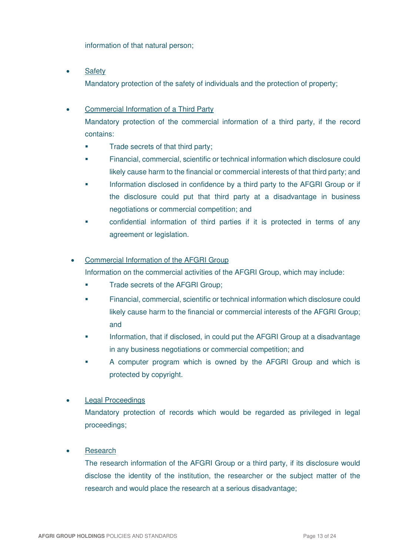information of that natural person;

• Safety

Mandatory protection of the safety of individuals and the protection of property;

### • Commercial Information of a Third Party

 Mandatory protection of the commercial information of a third party, if the record contains:

- Trade secrets of that third party:
- Financial, commercial, scientific or technical information which disclosure could likely cause harm to the financial or commercial interests of that third party; and
- Information disclosed in confidence by a third party to the AFGRI Group or if the disclosure could put that third party at a disadvantage in business negotiations or commercial competition; and
- confidential information of third parties if it is protected in terms of any agreement or legislation.

### • Commercial Information of the AFGRI Group

Information on the commercial activities of the AFGRI Group, which may include:

- **Trade secrets of the AFGRI Group;**
- Financial, commercial, scientific or technical information which disclosure could likely cause harm to the financial or commercial interests of the AFGRI Group; and
- Information, that if disclosed, in could put the AFGRI Group at a disadvantage in any business negotiations or commercial competition; and
- A computer program which is owned by the AFGRI Group and which is protected by copyright.

### **Legal Proceedings**

Mandatory protection of records which would be regarded as privileged in legal proceedings;

### • Research

The research information of the AFGRI Group or a third party, if its disclosure would disclose the identity of the institution, the researcher or the subject matter of the research and would place the research at a serious disadvantage;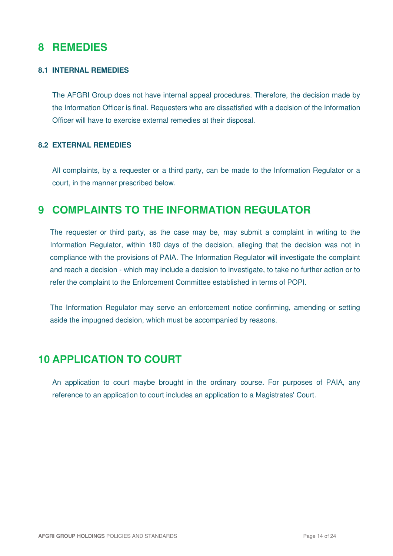### **8 REMEDIES**

### **8.1 INTERNAL REMEDIES**

The AFGRI Group does not have internal appeal procedures. Therefore, the decision made by the Information Officer is final. Requesters who are dissatisfied with a decision of the Information Officer will have to exercise external remedies at their disposal.

### **8.2 EXTERNAL REMEDIES**

All complaints, by a requester or a third party, can be made to the Information Regulator or a court, in the manner prescribed below.

### **9 COMPLAINTS TO THE INFORMATION REGULATOR**

The requester or third party, as the case may be, may submit a complaint in writing to the Information Regulator, within 180 days of the decision, alleging that the decision was not in compliance with the provisions of PAIA. The Information Regulator will investigate the complaint and reach a decision - which may include a decision to investigate, to take no further action or to refer the complaint to the Enforcement Committee established in terms of POPI.

The Information Regulator may serve an enforcement notice confirming, amending or setting aside the impugned decision, which must be accompanied by reasons.

### **10 APPLICATION TO COURT**

An application to court maybe brought in the ordinary course. For purposes of PAIA, any reference to an application to court includes an application to a Magistrates' Court.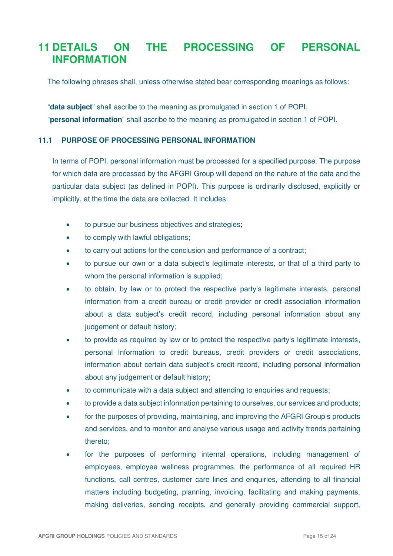### **11 DETAILS ON THE PROCESSING OF PERSONAL INFORMATION**

The following phrases shall, unless otherwise stated bear corresponding meanings as follows:

"**data subject**" shall ascribe to the meaning as promulgated in section 1 of POPI.

"**personal information**" shall ascribe to the meaning as promulgated in section 1 of POPI.

### **11.1 PURPOSE OF PROCESSING PERSONAL INFORMATION**

In terms of POPI, personal information must be processed for a specified purpose. The purpose for which data are processed by the AFGRI Group will depend on the nature of the data and the particular data subject (as defined in POPI). This purpose is ordinarily disclosed, explicitly or implicitly, at the time the data are collected. It includes:

- to pursue our business objectives and strategies;
- to comply with lawful obligations;
- to carry out actions for the conclusion and performance of a contract;
- to pursue our own or a data subject's legitimate interests, or that of a third party to whom the personal information is supplied;
- to obtain, by law or to protect the respective party's legitimate interests, personal information from a credit bureau or credit provider or credit association information about a data subject's credit record, including personal information about any judgement or default history;
- to provide as required by law or to protect the respective party's legitimate interests, personal Information to credit bureaus, credit providers or credit associations, information about certain data subject's credit record, including personal information about any judgement or default history;
- to communicate with a data subject and attending to enquiries and requests;
- to provide a data subject information pertaining to ourselves, our services and products;
- for the purposes of providing, maintaining, and improving the AFGRI Group's products and services, and to monitor and analyse various usage and activity trends pertaining thereto;
- for the purposes of performing internal operations, including management of employees, employee wellness programmes, the performance of all required HR functions, call centres, customer care lines and enquiries, attending to all financial matters including budgeting, planning, invoicing, facilitating and making payments, making deliveries, sending receipts, and generally providing commercial support,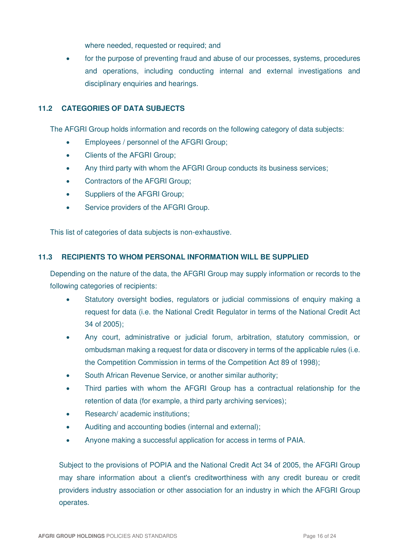where needed, requested or required; and

• for the purpose of preventing fraud and abuse of our processes, systems, procedures and operations, including conducting internal and external investigations and disciplinary enquiries and hearings.

### **11.2 CATEGORIES OF DATA SUBJECTS**

The AFGRI Group holds information and records on the following category of data subjects:

- Employees / personnel of the AFGRI Group;
- Clients of the AFGRI Group:
- Any third party with whom the AFGRI Group conducts its business services;
- Contractors of the AFGRI Group;
- Suppliers of the AFGRI Group;
- Service providers of the AFGRI Group.

This list of categories of data subjects is non-exhaustive.

### **11.3 RECIPIENTS TO WHOM PERSONAL INFORMATION WILL BE SUPPLIED**

Depending on the nature of the data, the AFGRI Group may supply information or records to the following categories of recipients:

- Statutory oversight bodies, regulators or judicial commissions of enquiry making a request for data (i.e. the National Credit Regulator in terms of the National Credit Act 34 of 2005);
- Any court, administrative or judicial forum, arbitration, statutory commission, or ombudsman making a request for data or discovery in terms of the applicable rules (i.e. the Competition Commission in terms of the Competition Act 89 of 1998);
- South African Revenue Service, or another similar authority:
- Third parties with whom the AFGRI Group has a contractual relationship for the retention of data (for example, a third party archiving services);
- Research/ academic institutions;
- Auditing and accounting bodies (internal and external);
- Anyone making a successful application for access in terms of PAIA.

Subject to the provisions of POPIA and the National Credit Act 34 of 2005, the AFGRI Group may share information about a client's creditworthiness with any credit bureau or credit providers industry association or other association for an industry in which the AFGRI Group operates.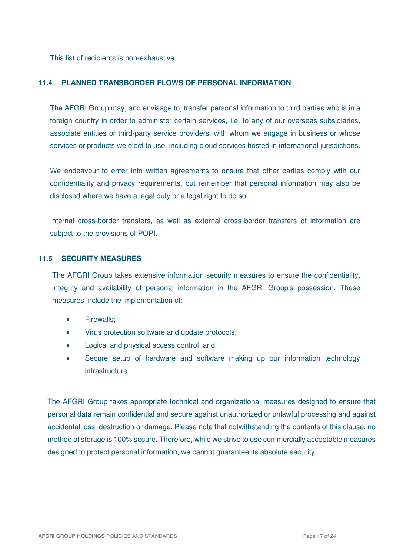This list of recipients is non-exhaustive.

#### **11.4 PLANNED TRANSBORDER FLOWS OF PERSONAL INFORMATION**

The AFGRI Group may, and envisage to, transfer personal information to third parties who is in a foreign country in order to administer certain services, i.e. to any of our overseas subsidiaries, associate entities or third-party service providers, with whom we engage in business or whose services or products we elect to use, including cloud services hosted in international jurisdictions.

We endeavour to enter into written agreements to ensure that other parties comply with our confidentiality and privacy requirements, but remember that personal information may also be disclosed where we have a legal duty or a legal right to do so.

Internal cross-border transfers, as well as external cross-border transfers of information are subject to the provisions of POPI.

#### **11.5 SECURITY MEASURES**

The AFGRI Group takes extensive information security measures to ensure the confidentiality, integrity and availability of personal information in the AFGRI Group's possession. These measures include the implementation of:

- Firewalls:
- Virus protection software and update protocols;
- Logical and physical access control; and
- Secure setup of hardware and software making up our information technology infrastructure.

The AFGRI Group takes appropriate technical and organizational measures designed to ensure that personal data remain confidential and secure against unauthorized or unlawful processing and against accidental loss, destruction or damage. Please note that notwithstanding the contents of this clause, no method of storage is 100% secure. Therefore, while we strive to use commercially acceptable measures designed to protect personal information, we cannot guarantee its absolute security.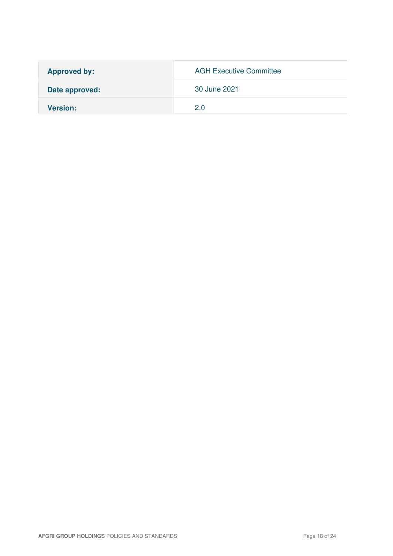| <b>Approved by:</b> | <b>AGH Executive Committee</b> |
|---------------------|--------------------------------|
| Date approved:      | 30 June 2021                   |
| <b>Version:</b>     | 2 O                            |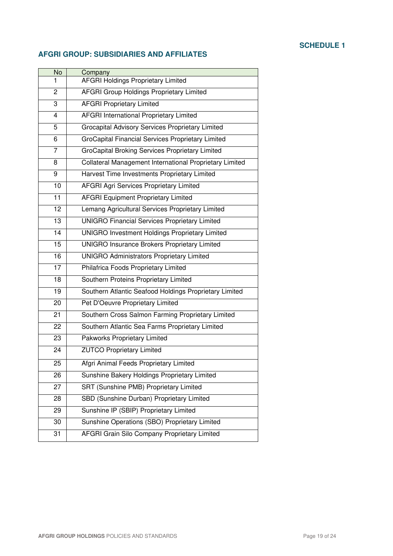### **SCHEDULE 1**

### **AFGRI GROUP: SUBSIDIARIES AND AFFILIATES**

| No              | Company                                                 |
|-----------------|---------------------------------------------------------|
| 1               | <b>AFGRI Holdings Proprietary Limited</b>               |
| 2               | <b>AFGRI Group Holdings Proprietary Limited</b>         |
| 3               | <b>AFGRI Proprietary Limited</b>                        |
| 4               | AFGRI International Proprietary Limited                 |
| 5               | Grocapital Advisory Services Proprietary Limited        |
| 6               | GroCapital Financial Services Proprietary Limited       |
| 7               | GroCapital Broking Services Proprietary Limited         |
| 8               | Collateral Management International Proprietary Limited |
| 9               | Harvest Time Investments Proprietary Limited            |
| 10              | <b>AFGRI Agri Services Proprietary Limited</b>          |
| 11              | <b>AFGRI Equipment Proprietary Limited</b>              |
| 12              | Lemang Agricultural Services Proprietary Limited        |
| 13              | <b>UNIGRO Financial Services Proprietary Limited</b>    |
| 14              | <b>UNIGRO Investment Holdings Proprietary Limited</b>   |
| 15              | <b>UNIGRO Insurance Brokers Proprietary Limited</b>     |
| 16              | <b>UNIGRO Administrators Proprietary Limited</b>        |
| $\overline{17}$ | Philafrica Foods Proprietary Limited                    |
| 18              | Southern Proteins Proprietary Limited                   |
| $\overline{19}$ | Southern Atlantic Seafood Holdings Proprietary Limited  |
| 20              | Pet D'Oeuvre Proprietary Limited                        |
| 21              | Southern Cross Salmon Farming Proprietary Limited       |
| 22              | Southern Atlantic Sea Farms Proprietary Limited         |
| 23              | Pakworks Proprietary Limited                            |
| 24              | <b>ZUTCO Proprietary Limited</b>                        |
| 25              | Afgri Animal Feeds Proprietary Limited                  |
| 26              | Sunshine Bakery Holdings Proprietary Limited            |
| 27              | SRT (Sunshine PMB) Proprietary Limited                  |
| 28              | SBD (Sunshine Durban) Proprietary Limited               |
| 29              | Sunshine IP (SBIP) Proprietary Limited                  |
| 30              | Sunshine Operations (SBO) Proprietary Limited           |
| 31              | AFGRI Grain Silo Company Proprietary Limited            |
|                 |                                                         |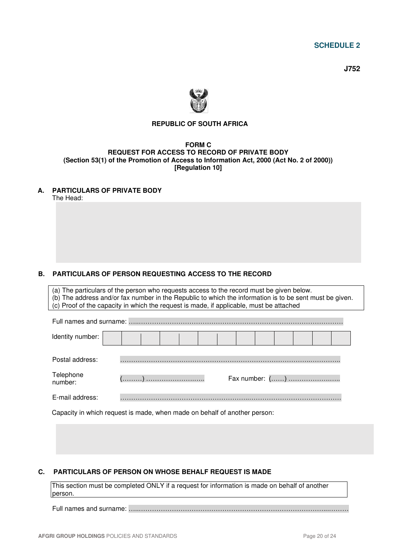**SCHEDULE 2** 

 **J752** 



### **REPUBLIC OF SOUTH AFRICA**

#### **FORM C REQUEST FOR ACCESS TO RECORD OF PRIVATE BODY (Section 53(1) of the Promotion of Access to Information Act, 2000 (Act No. 2 of 2000)) [Regulation 10]**

#### **A. PARTICULARS OF PRIVATE BODY**

The Head:

### **B. PARTICULARS OF PERSON REQUESTING ACCESS TO THE RECORD**

(a) The particulars of the person who requests access to the record must be given below. (b) The address and/or fax number in the Republic to which the information is to be sent must be given. (c) Proof of the capacity in which the request is made, if applicable, must be attached Full names and surname: …..…………………………………………………………………………………

| Identity number:     |  |  |  |  |  |  |  |
|----------------------|--|--|--|--|--|--|--|
| Postal address:      |  |  |  |  |  |  |  |
| Telephone<br>number: |  |  |  |  |  |  |  |
| E-mail address:      |  |  |  |  |  |  |  |

Capacity in which request is made, when made on behalf of another person:

#### **C. PARTICULARS OF PERSON ON WHOSE BEHALF REQUEST IS MADE**

This section must be completed ONLY if a request for information is made on behalf of another person.

Full names and surname: …..…………………………………………………………………………...………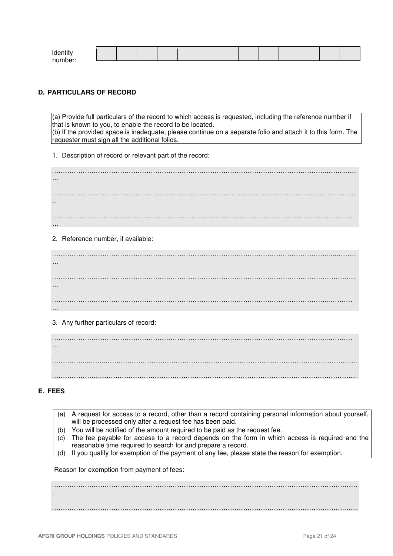| Ident   |  |  |  |  |  |  |  |
|---------|--|--|--|--|--|--|--|
| numhar: |  |  |  |  |  |  |  |
|         |  |  |  |  |  |  |  |

#### **D. PARTICULARS OF RECORD**

(a) Provide full particulars of the record to which access is requested, including the reference number if that is known to you, to enable the record to be located. (b) If the provided space is inadequate, please continue on a separate folio and attach it to this form. The requester must sign all the additional folios.

1. Description of record or relevant part of the record:

…………………………………………………………………………………………………………….………...… … ………………………………………………………………………..…………………………………...…………… .. …...……………………………………………………………………..………………………………..…………… …

2. Reference number, if available:

………………………………………………………………………………………………………………....……… … ………………………………………………………………………………………………………………………… … ………………………………………………………………………………………………………………..……… …

3. Any further particulars of record:

……………………………………………………………………………………………………………..………… … ……………..……..……………………………………………………………………………………….…………… ………………….………………………………………………………………………………………………………

#### **E. FEES**

- (a) A request for access to a record, other than a record containing personal information about yourself, will be processed only after a request fee has been paid.
- (b) You will be notified of the amount required to be paid as the request fee.
- (c) The fee payable for access to a record depends on the form in which access is required and the reasonable time required to search for and prepare a record.
- (d) If you qualify for exemption of the payment of any fee, please state the reason for exemption.

Reason for exemption from payment of fees:

…………………………………………………………………………………………………………………………. . …………………………………………………………………………………………………………………….……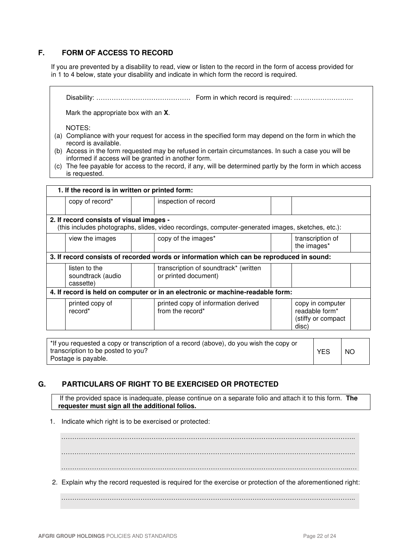### **F. FORM OF ACCESS TO RECORD**

If you are prevented by a disability to read, view or listen to the record in the form of access provided for in 1 to 4 below, state your disability and indicate in which form the record is required.

Disability: ……………………………………. Form in which record is required: ………………………

Mark the appropriate box with an **X**.

NOTES:

- (a) Compliance with your request for access in the specified form may depend on the form in which the record is available.
- (b) Access in the form requested may be refused in certain circumstances. In such a case you will be informed if access will be granted in another form.
- (c) The fee payable for access to the record, if any, will be determined partly by the form in which access is requested.

| 1. If the record is in written or printed form:                                |  |                                                                                                   |  |                                                                   |  |  |  |  |
|--------------------------------------------------------------------------------|--|---------------------------------------------------------------------------------------------------|--|-------------------------------------------------------------------|--|--|--|--|
| copy of record*                                                                |  | inspection of record                                                                              |  |                                                                   |  |  |  |  |
| 2. If record consists of visual images -                                       |  | (this includes photographs, slides, video recordings, computer-generated images, sketches, etc.): |  |                                                                   |  |  |  |  |
| view the images                                                                |  | copy of the images*                                                                               |  | transcription of<br>the images*                                   |  |  |  |  |
|                                                                                |  | 3. If record consists of recorded words or information which can be reproduced in sound:          |  |                                                                   |  |  |  |  |
| listen to the<br>soundtrack (audio<br>cassette)                                |  | transcription of soundtrack* (written<br>or printed document)                                     |  |                                                                   |  |  |  |  |
| 4. If record is held on computer or in an electronic or machine-readable form: |  |                                                                                                   |  |                                                                   |  |  |  |  |
| printed copy of<br>record*                                                     |  | printed copy of information derived<br>from the record*                                           |  | copy in computer<br>readable form*<br>(stiffy or compact<br>disc) |  |  |  |  |

| tif you requested a copy or transcription of a record (above), do you wish the copy or |            |           |
|----------------------------------------------------------------------------------------|------------|-----------|
| transcription to be posted to you?                                                     | <b>YES</b> | <b>NC</b> |
| Postage is payable.                                                                    |            |           |

### **G. PARTICULARS OF RIGHT TO BE EXERCISED OR PROTECTED**

If the provided space is inadequate, please continue on a separate folio and attach it to this form. **The requester must sign all the additional folios.** 

1. Indicate which right is to be exercised or protected:

…………………………………………………………………………………………………………………….. …………………………………………………………………………………………………………………….. …………………………………………………………………………………………………………………...…

2. Explain why the record requested is required for the exercise or protection of the aforementioned right:

……………………………………………………………………………………………………………………..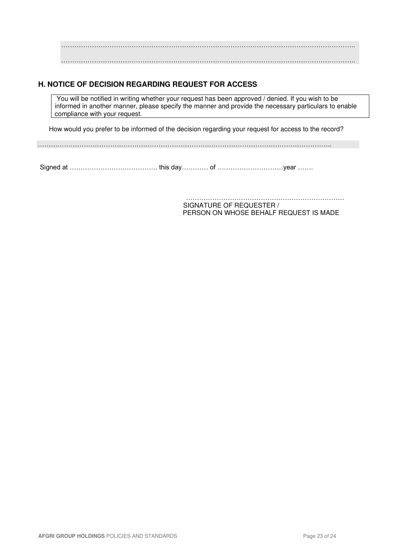…………………………………………………………………………………………………………………….. ……………………………………………………………………………………………………………………..

### **H. NOTICE OF DECISION REGARDING REQUEST FOR ACCESS**

You will be notified in writing whether your request has been approved / denied. If you wish to be informed in another manner, please specify the manner and provide the necessary particulars to enable compliance with your request.

How would you prefer to be informed of the decision regarding your request for access to the record?

……………………………………………………………………………………………………………………..

Signed at …………………………………. this day………… of …………………………year …….

……………………………………………………………… SIGNATURE OF REQUESTER / PERSON ON WHOSE BEHALF REQUEST IS MADE